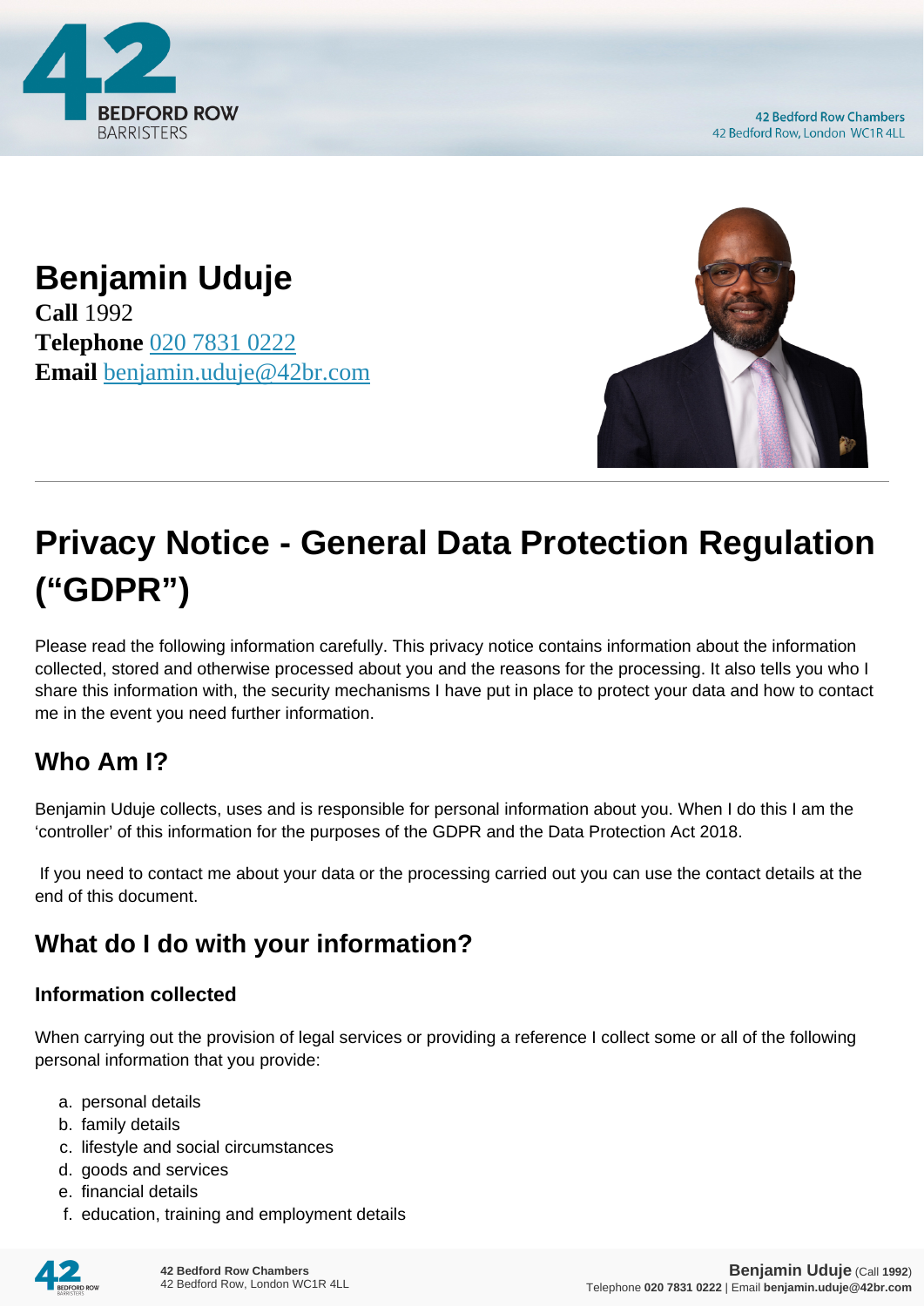

**42 Bedford Row Chambers** 42 Bedford Row, London WC1R 4LL

## **Benjamin Uduje Call** 1992 **Telephone** [020 7831 0222](https://pdf.codeshore.co/_42br/tel:020 7831 0222) **Email** [benjamin.uduje@42br.com](mailto:benjamin.uduje@42br.com)



# **Privacy Notice - General Data Protection Regulation ("GDPR")**

Please read the following information carefully. This privacy notice contains information about the information collected, stored and otherwise processed about you and the reasons for the processing. It also tells you who I share this information with, the security mechanisms I have put in place to protect your data and how to contact me in the event you need further information.

## **Who Am I?**

Benjamin Uduje collects, uses and is responsible for personal information about you. When I do this I am the 'controller' of this information for the purposes of the GDPR and the Data Protection Act 2018.

 If you need to contact me about your data or the processing carried out you can use the contact details at the end of this document.

# **What do I do with your information?**

#### **Information collected**

When carrying out the provision of legal services or providing a reference I collect some or all of the following personal information that you provide:

- a. personal details
- b. family details
- c. lifestyle and social circumstances
- d. goods and services
- e. financial details
- f. education, training and employment details

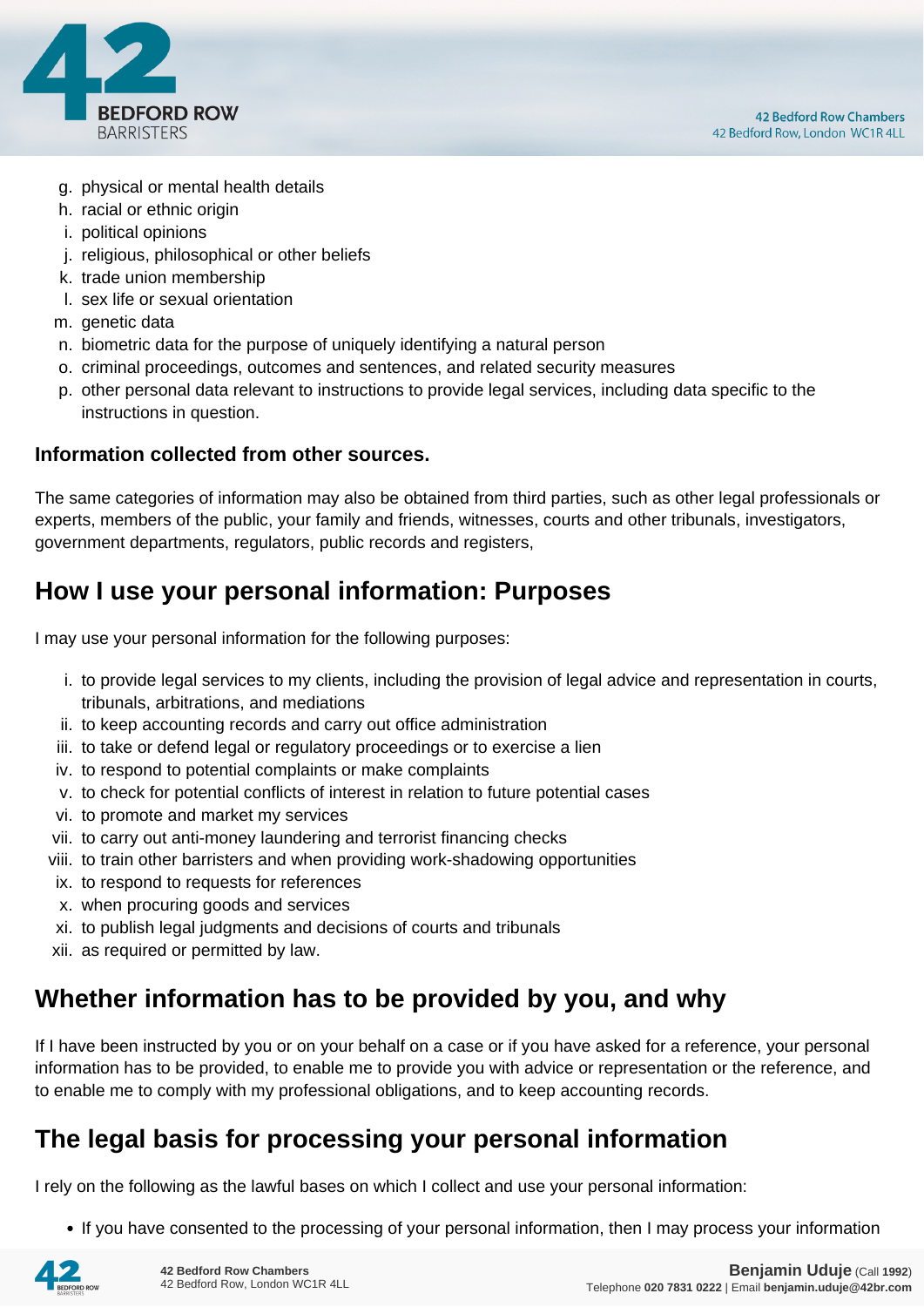

- g. physical or mental health details
- h. racial or ethnic origin
- i. political opinions
- j. religious, philosophical or other beliefs
- k. trade union membership
- l. sex life or sexual orientation
- m. genetic data
- n. biometric data for the purpose of uniquely identifying a natural person
- o. criminal proceedings, outcomes and sentences, and related security measures
- p. other personal data relevant to instructions to provide legal services, including data specific to the instructions in question.

#### **Information collected from other sources.**

The same categories of information may also be obtained from third parties, such as other legal professionals or experts, members of the public, your family and friends, witnesses, courts and other tribunals, investigators, government departments, regulators, public records and registers,

#### **How I use your personal information: Purposes**

I may use your personal information for the following purposes:

- i. to provide legal services to my clients, including the provision of legal advice and representation in courts, tribunals, arbitrations, and mediations
- ii. to keep accounting records and carry out office administration
- iii. to take or defend legal or regulatory proceedings or to exercise a lien
- iv. to respond to potential complaints or make complaints
- v. to check for potential conflicts of interest in relation to future potential cases
- vi. to promote and market my services
- vii. to carry out anti-money laundering and terrorist financing checks
- viii. to train other barristers and when providing work-shadowing opportunities
- ix. to respond to requests for references
- x. when procuring goods and services
- xi. to publish legal judgments and decisions of courts and tribunals
- xii. as required or permitted by law.

#### **Whether information has to be provided by you, and why**

If I have been instructed by you or on your behalf on a case or if you have asked for a reference, your personal information has to be provided, to enable me to provide you with advice or representation or the reference, and to enable me to comply with my professional obligations, and to keep accounting records.

#### **The legal basis for processing your personal information**

I rely on the following as the lawful bases on which I collect and use your personal information:

• If you have consented to the processing of your personal information, then I may process your information

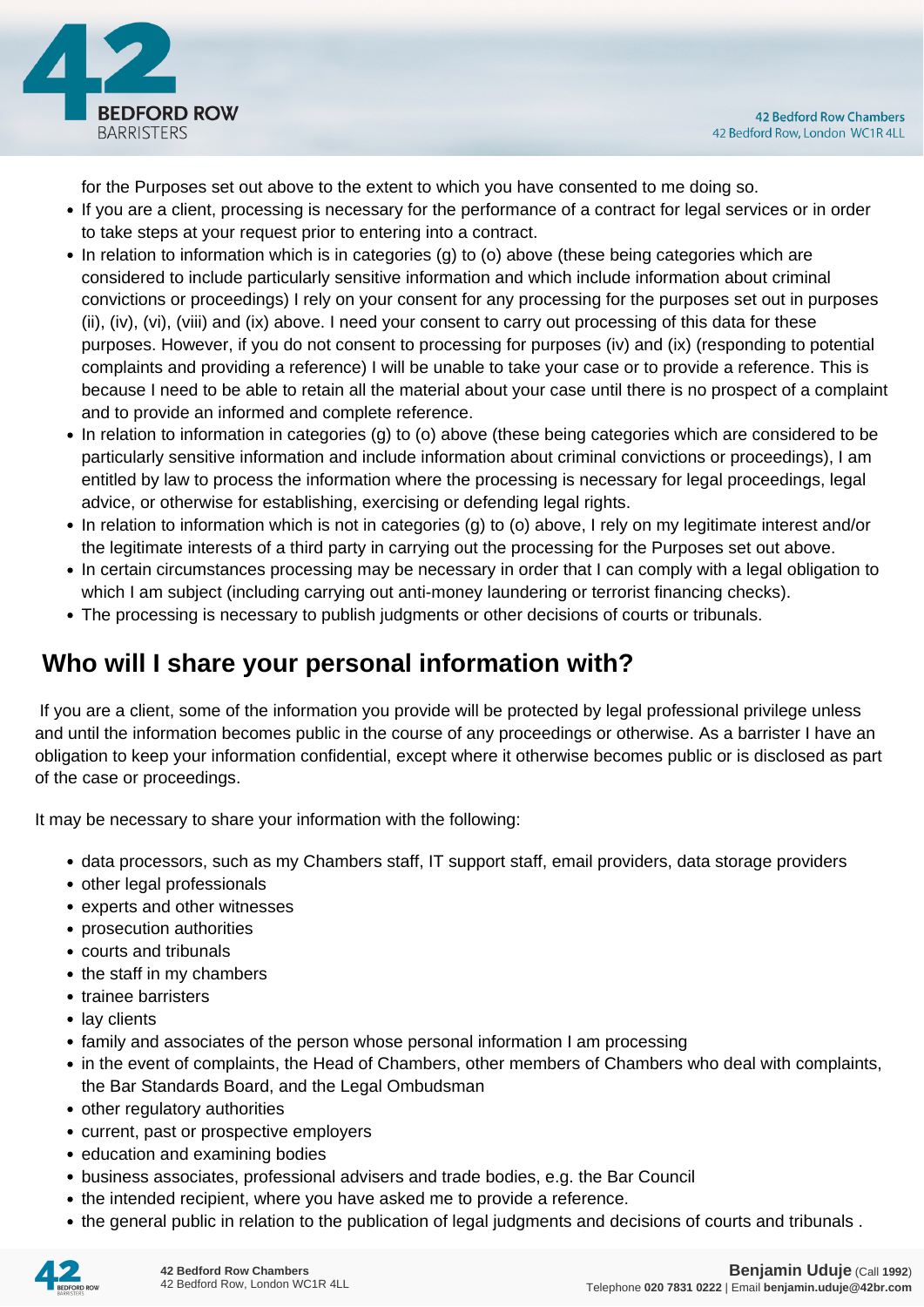

for the Purposes set out above to the extent to which you have consented to me doing so.

- If you are a client, processing is necessary for the performance of a contract for legal services or in order to take steps at your request prior to entering into a contract.
- In relation to information which is in categories (g) to (o) above (these being categories which are considered to include particularly sensitive information and which include information about criminal convictions or proceedings) I rely on your consent for any processing for the purposes set out in purposes (ii), (iv), (vi), (viii) and (ix) above. I need your consent to carry out processing of this data for these purposes. However, if you do not consent to processing for purposes (iv) and (ix) (responding to potential complaints and providing a reference) I will be unable to take your case or to provide a reference. This is because I need to be able to retain all the material about your case until there is no prospect of a complaint and to provide an informed and complete reference.
- In relation to information in categories (g) to (o) above (these being categories which are considered to be particularly sensitive information and include information about criminal convictions or proceedings), I am entitled by law to process the information where the processing is necessary for legal proceedings, legal advice, or otherwise for establishing, exercising or defending legal rights.
- In relation to information which is not in categories (g) to (o) above, I rely on my legitimate interest and/or the legitimate interests of a third party in carrying out the processing for the Purposes set out above.
- In certain circumstances processing may be necessary in order that I can comply with a legal obligation to which I am subject (including carrying out anti-money laundering or terrorist financing checks).
- The processing is necessary to publish judgments or other decisions of courts or tribunals.

## **Who will I share your personal information with?**

 If you are a client, some of the information you provide will be protected by legal professional privilege unless and until the information becomes public in the course of any proceedings or otherwise. As a barrister I have an obligation to keep your information confidential, except where it otherwise becomes public or is disclosed as part of the case or proceedings.

It may be necessary to share your information with the following:

- data processors, such as my Chambers staff, IT support staff, email providers, data storage providers
- other legal professionals
- experts and other witnesses
- prosecution authorities
- courts and tribunals
- the staff in my chambers
- trainee barristers
- lay clients
- family and associates of the person whose personal information I am processing
- in the event of complaints, the Head of Chambers, other members of Chambers who deal with complaints, the Bar Standards Board, and the Legal Ombudsman
- other regulatory authorities
- current, past or prospective employers
- education and examining bodies
- business associates, professional advisers and trade bodies, e.g. the Bar Council
- the intended recipient, where you have asked me to provide a reference.
- the general public in relation to the publication of legal judgments and decisions of courts and tribunals .

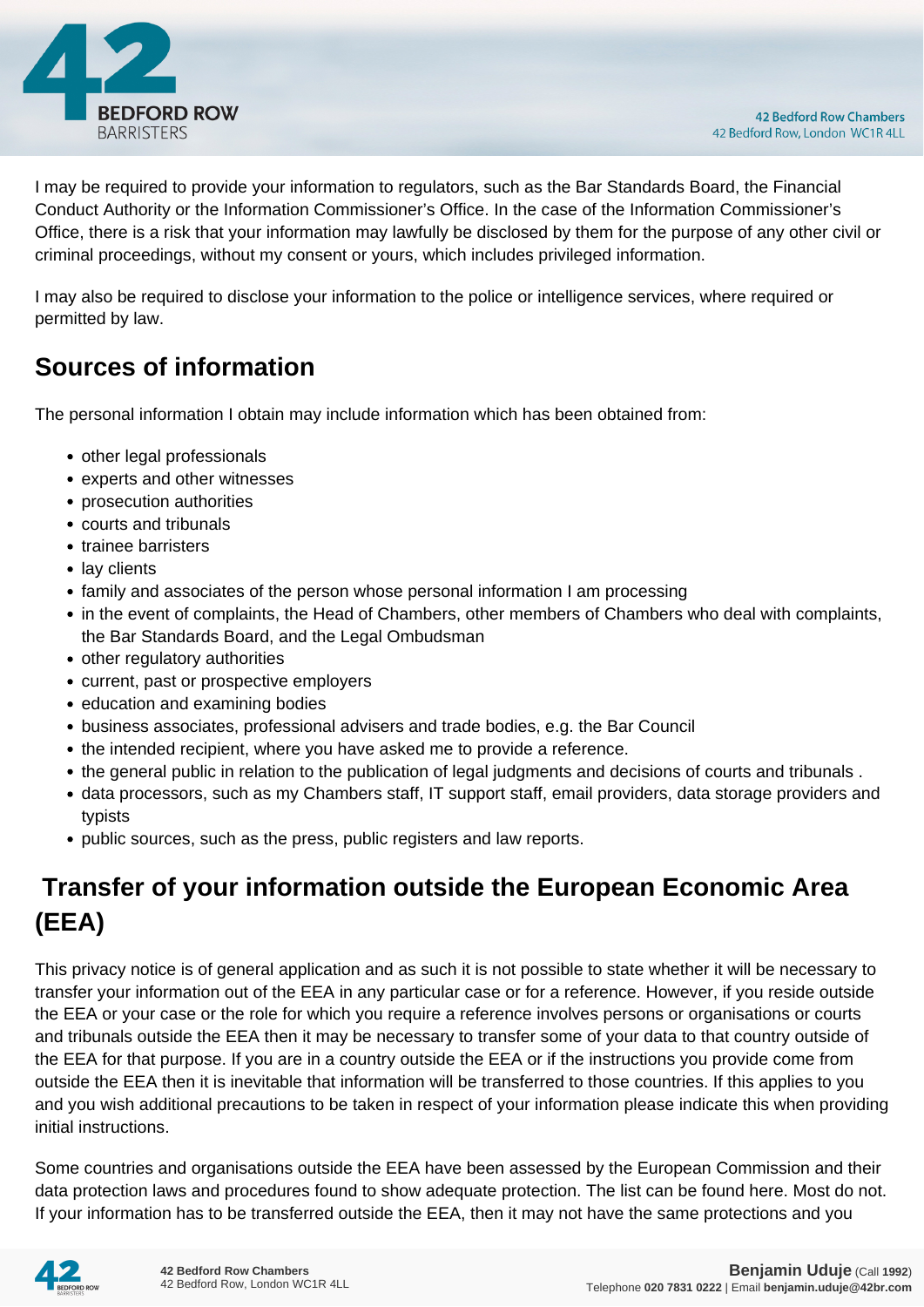

I may be required to provide your information to regulators, such as the Bar Standards Board, the Financial Conduct Authority or the Information Commissioner's Office. In the case of the Information Commissioner's Office, there is a risk that your information may lawfully be disclosed by them for the purpose of any other civil or criminal proceedings, without my consent or yours, which includes privileged information.

I may also be required to disclose your information to the police or intelligence services, where required or permitted by law.

#### **Sources of information**

The personal information I obtain may include information which has been obtained from:

- other legal professionals
- experts and other witnesses
- prosecution authorities
- courts and tribunals
- trainee barristers
- lay clients
- family and associates of the person whose personal information I am processing
- in the event of complaints, the Head of Chambers, other members of Chambers who deal with complaints, the Bar Standards Board, and the Legal Ombudsman
- other regulatory authorities
- current, past or prospective employers
- education and examining bodies
- business associates, professional advisers and trade bodies, e.g. the Bar Council
- the intended recipient, where you have asked me to provide a reference.
- the general public in relation to the publication of legal judgments and decisions of courts and tribunals .
- data processors, such as my Chambers staff, IT support staff, email providers, data storage providers and typists
- public sources, such as the press, public registers and law reports.

# **Transfer of your information outside the European Economic Area (EEA)**

This privacy notice is of general application and as such it is not possible to state whether it will be necessary to transfer your information out of the EEA in any particular case or for a reference. However, if you reside outside the EEA or your case or the role for which you require a reference involves persons or organisations or courts and tribunals outside the EEA then it may be necessary to transfer some of your data to that country outside of the EEA for that purpose. If you are in a country outside the EEA or if the instructions you provide come from outside the EEA then it is inevitable that information will be transferred to those countries. If this applies to you and you wish additional precautions to be taken in respect of your information please indicate this when providing initial instructions.

Some countries and organisations outside the EEA have been assessed by the European Commission and their data protection laws and procedures found to show adequate protection. The list can be found here. Most do not. If your information has to be transferred outside the EEA, then it may not have the same protections and you

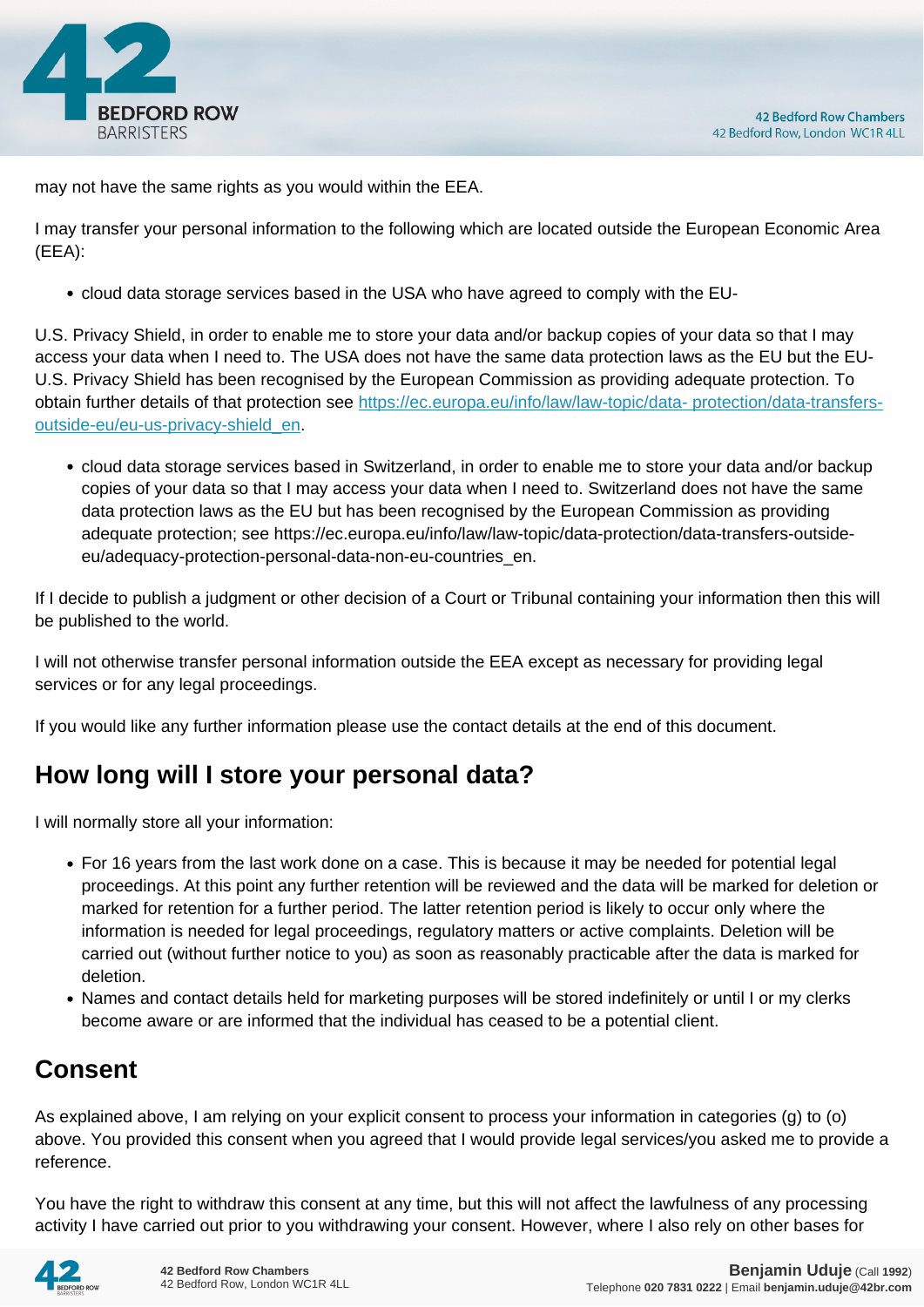

may not have the same rights as you would within the EEA.

I may transfer your personal information to the following which are located outside the European Economic Area (EEA):

cloud data storage services based in the USA who have agreed to comply with the EU-

U.S. Privacy Shield, in order to enable me to store your data and/or backup copies of your data so that I may access your data when I need to. The USA does not have the same data protection laws as the EU but the EU-U.S. Privacy Shield has been recognised by the European Commission as providing adequate protection. To obtain further details of that protection see [https://ec.europa.eu/info/law/law-topic/data- protection/data-transfers](https://ec.europa.eu/info/law/law-topic/data- protection/data-transfers-outside-eu/eu-us-privacy-shield_en)[outside-eu/eu-us-privacy-shield\\_en.](https://ec.europa.eu/info/law/law-topic/data- protection/data-transfers-outside-eu/eu-us-privacy-shield_en)

cloud data storage services based in Switzerland, in order to enable me to store your data and/or backup copies of your data so that I may access your data when I need to. Switzerland does not have the same data protection laws as the EU but has been recognised by the European Commission as providing adequate protection; see https://ec.europa.eu/info/law/law-topic/data-protection/data-transfers-outsideeu/adequacy-protection-personal-data-non-eu-countries\_en.

If I decide to publish a judgment or other decision of a Court or Tribunal containing your information then this will be published to the world.

I will not otherwise transfer personal information outside the EEA except as necessary for providing legal services or for any legal proceedings.

If you would like any further information please use the contact details at the end of this document.

## **How long will I store your personal data?**

I will normally store all your information:

- For 16 years from the last work done on a case. This is because it may be needed for potential legal proceedings. At this point any further retention will be reviewed and the data will be marked for deletion or marked for retention for a further period. The latter retention period is likely to occur only where the information is needed for legal proceedings, regulatory matters or active complaints. Deletion will be carried out (without further notice to you) as soon as reasonably practicable after the data is marked for deletion.
- Names and contact details held for marketing purposes will be stored indefinitely or until I or my clerks become aware or are informed that the individual has ceased to be a potential client.

## **Consent**

As explained above, I am relying on your explicit consent to process your information in categories (g) to (o) above. You provided this consent when you agreed that I would provide legal services/you asked me to provide a reference.

You have the right to withdraw this consent at any time, but this will not affect the lawfulness of any processing activity I have carried out prior to you withdrawing your consent. However, where I also rely on other bases for

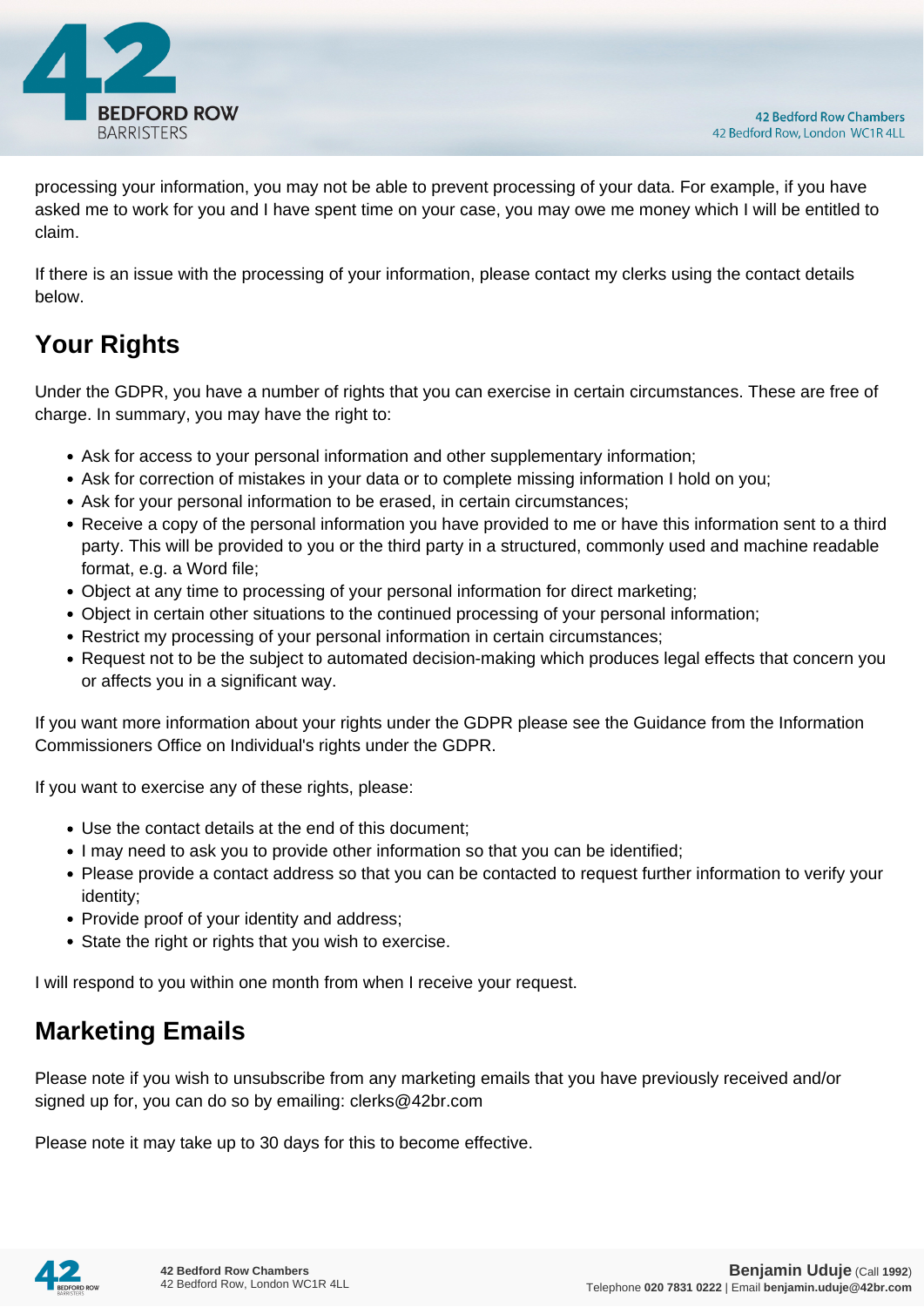

processing your information, you may not be able to prevent processing of your data. For example, if you have asked me to work for you and I have spent time on your case, you may owe me money which I will be entitled to claim.

If there is an issue with the processing of your information, please contact my clerks using the contact details below.

# **Your Rights**

Under the GDPR, you have a number of rights that you can exercise in certain circumstances. These are free of charge. In summary, you may have the right to:

- Ask for access to your personal information and other supplementary information;
- Ask for correction of mistakes in your data or to complete missing information I hold on you;
- Ask for your personal information to be erased, in certain circumstances;
- Receive a copy of the personal information you have provided to me or have this information sent to a third party. This will be provided to you or the third party in a structured, commonly used and machine readable format, e.g. a Word file;
- Object at any time to processing of your personal information for direct marketing;
- Object in certain other situations to the continued processing of your personal information;
- Restrict my processing of your personal information in certain circumstances;
- Request not to be the subject to automated decision-making which produces legal effects that concern you or affects you in a significant way.

If you want more information about your rights under the GDPR please see the Guidance from the Information Commissioners Office on Individual's rights under the GDPR.

If you want to exercise any of these rights, please:

- Use the contact details at the end of this document;
- I may need to ask you to provide other information so that you can be identified;
- Please provide a contact address so that you can be contacted to request further information to verify your identity;
- Provide proof of your identity and address;
- State the right or rights that you wish to exercise.

I will respond to you within one month from when I receive your request.

#### **Marketing Emails**

Please note if you wish to unsubscribe from any marketing emails that you have previously received and/or signed up for, you can do so by emailing: clerks@42br.com

Please note it may take up to 30 days for this to become effective.